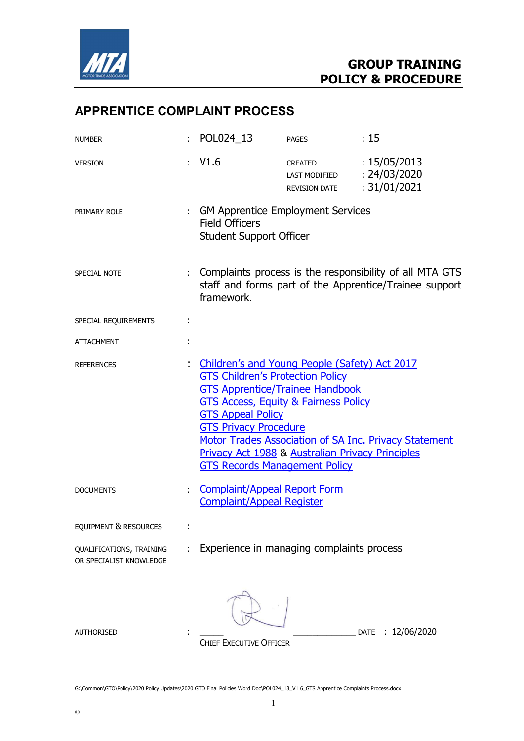

# APPRENTICE COMPLAINT PROCESS

| <b>NUMBER</b>                                       |   | POL024_13                                                                                                                                                                                                                                                                                                                                     | <b>PAGES</b>                                                         | :15                                                                                                                 |
|-----------------------------------------------------|---|-----------------------------------------------------------------------------------------------------------------------------------------------------------------------------------------------------------------------------------------------------------------------------------------------------------------------------------------------|----------------------------------------------------------------------|---------------------------------------------------------------------------------------------------------------------|
| <b>VERSION</b>                                      |   | : V1.6                                                                                                                                                                                                                                                                                                                                        | <b>CREATED</b><br>LAST MODIFIED : 24/03/2020<br><b>REVISION DATE</b> | : 15/05/2013<br>: 31/01/2021                                                                                        |
| PRIMARY ROLE                                        |   | : GM Apprentice Employment Services<br><b>Field Officers</b><br><b>Student Support Officer</b>                                                                                                                                                                                                                                                |                                                                      |                                                                                                                     |
| SPECIAL NOTE                                        |   | framework.                                                                                                                                                                                                                                                                                                                                    |                                                                      | : Complaints process is the responsibility of all MTA GTS<br>staff and forms part of the Apprentice/Trainee support |
| SPECIAL REQUIREMENTS                                | ÷ |                                                                                                                                                                                                                                                                                                                                               |                                                                      |                                                                                                                     |
| <b>ATTACHMENT</b>                                   |   |                                                                                                                                                                                                                                                                                                                                               |                                                                      |                                                                                                                     |
| <b>REFERENCES</b>                                   |   | Children's and Young People (Safety) Act 2017<br><b>GTS Children's Protection Policy</b><br><b>GTS Apprentice/Trainee Handbook</b><br><b>GTS Access, Equity &amp; Fairness Policy</b><br><b>GTS Appeal Policy</b><br><b>GTS Privacy Procedure</b><br>Privacy Act 1988 & Australian Privacy Principles<br><b>GTS Records Management Policy</b> |                                                                      | Motor Trades Association of SA Inc. Privacy Statement                                                               |
| <b>DOCUMENTS</b>                                    |   | <b>Complaint/Appeal Report Form</b><br><b>Complaint/Appeal Register</b>                                                                                                                                                                                                                                                                       |                                                                      |                                                                                                                     |
| EQUIPMENT & RESOURCES                               |   |                                                                                                                                                                                                                                                                                                                                               |                                                                      |                                                                                                                     |
| QUALIFICATIONS, TRAINING<br>OR SPECIALIST KNOWLEDGE |   | Experience in managing complaints process                                                                                                                                                                                                                                                                                                     |                                                                      |                                                                                                                     |
| <b>AUTHORISED</b>                                   |   | <b>CHIEF EXECUTIVE OFFICER</b>                                                                                                                                                                                                                                                                                                                |                                                                      | : 12/06/2020<br><b>DATE</b>                                                                                         |

G:\Common\GTO\Policy\2020 Policy Updates\2020 GTO Final Policies Word Doc\POL024\_13\_V1 6\_GTS Apprentice Complaints Process.docx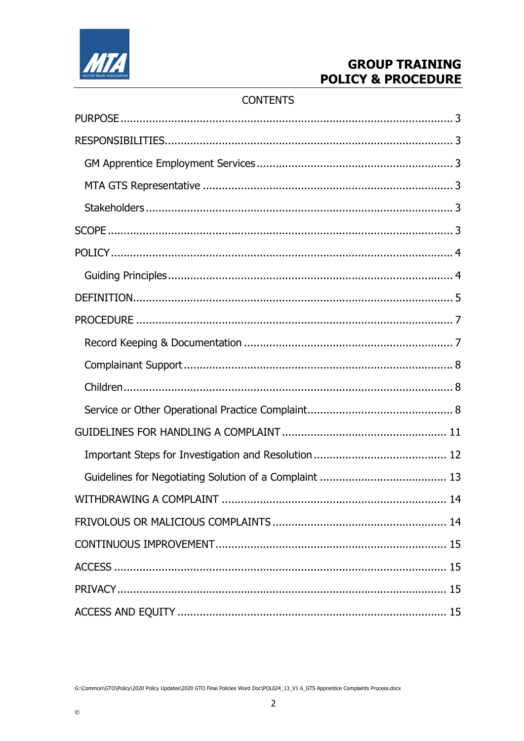

### **CONTENTS**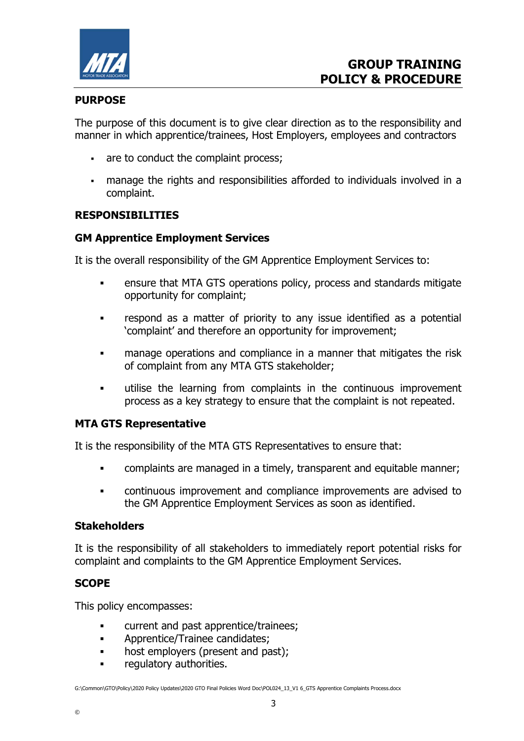

#### PURPOSE

The purpose of this document is to give clear direction as to the responsibility and manner in which apprentice/trainees, Host Employers, employees and contractors

- are to conduct the complaint process;
- manage the rights and responsibilities afforded to individuals involved in a complaint.

#### RESPONSIBILITIES

#### GM Apprentice Employment Services

It is the overall responsibility of the GM Apprentice Employment Services to:

- ensure that MTA GTS operations policy, process and standards mitigate opportunity for complaint;
- respond as a matter of priority to any issue identified as a potential 'complaint' and therefore an opportunity for improvement;
- manage operations and compliance in a manner that mitigates the risk of complaint from any MTA GTS stakeholder;
- utilise the learning from complaints in the continuous improvement process as a key strategy to ensure that the complaint is not repeated.

#### MTA GTS Representative

It is the responsibility of the MTA GTS Representatives to ensure that:

- complaints are managed in a timely, transparent and equitable manner;
- continuous improvement and compliance improvements are advised to the GM Apprentice Employment Services as soon as identified.

#### **Stakeholders**

It is the responsibility of all stakeholders to immediately report potential risks for complaint and complaints to the GM Apprentice Employment Services.

### **SCOPE**

This policy encompasses:

- **EXECUTE:** Current and past apprentice/trainees;
- Apprentice/Trainee candidates;
- host employers (present and past);
- **Figure 1** regulatory authorities.

G:\Common\GTO\Policy\2020 Policy Updates\2020 GTO Final Policies Word Doc\POL024\_13\_V1 6\_GTS Apprentice Complaints Process.docx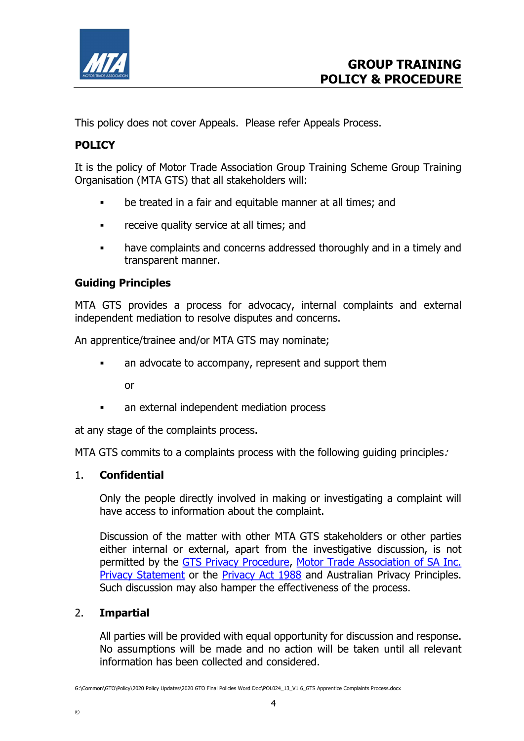

This policy does not cover Appeals. Please refer Appeals Process.

## POLICY

It is the policy of Motor Trade Association Group Training Scheme Group Training Organisation (MTA GTS) that all stakeholders will:

- be treated in a fair and equitable manner at all times; and
- **Example 2** receive quality service at all times; and
- have complaints and concerns addressed thoroughly and in a timely and transparent manner.

### Guiding Principles

MTA GTS provides a process for advocacy, internal complaints and external independent mediation to resolve disputes and concerns.

An apprentice/trainee and/or MTA GTS may nominate;

• an advocate to accompany, represent and support them

or

an external independent mediation process

at any stage of the complaints process.

MTA GTS commits to a complaints process with the following guiding principles.

### 1. Confidential

 Only the people directly involved in making or investigating a complaint will have access to information about the complaint.

 Discussion of the matter with other MTA GTS stakeholders or other parties either internal or external, apart from the investigative discussion, is not permitted by the GTS Privacy Procedure, Motor Trade Association of SA Inc. Privacy Statement or the Privacy Act 1988 and Australian Privacy Principles. Such discussion may also hamper the effectiveness of the process.

### 2. Impartial

All parties will be provided with equal opportunity for discussion and response. No assumptions will be made and no action will be taken until all relevant information has been collected and considered.

G:\Common\GTO\Policy\2020 Policy Updates\2020 GTO Final Policies Word Doc\POL024\_13\_V1 6\_GTS Apprentice Complaints Process.docx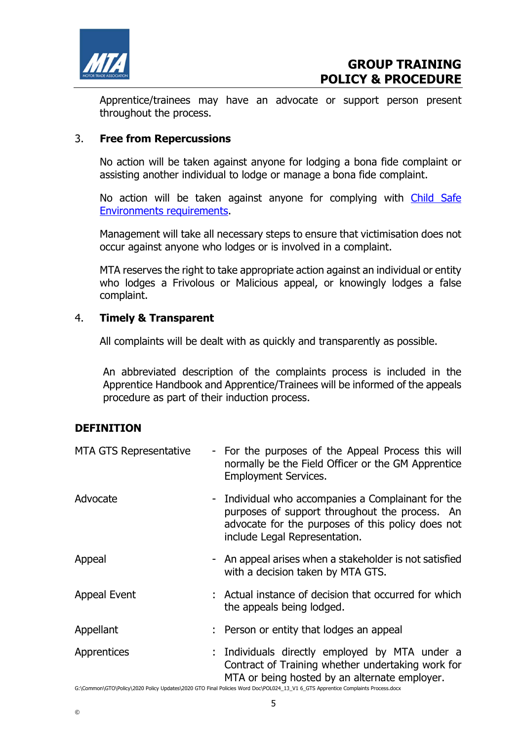

Apprentice/trainees may have an advocate or support person present throughout the process.

### 3. Free from Repercussions

 No action will be taken against anyone for lodging a bona fide complaint or assisting another individual to lodge or manage a bona fide complaint.

 No action will be taken against anyone for complying with Child Safe Environments requirements.

 Management will take all necessary steps to ensure that victimisation does not occur against anyone who lodges or is involved in a complaint.

MTA reserves the right to take appropriate action against an individual or entity who lodges a Frivolous or Malicious appeal, or knowingly lodges a false complaint.

### 4. Timely & Transparent

All complaints will be dealt with as quickly and transparently as possible.

An abbreviated description of the complaints process is included in the Apprentice Handbook and Apprentice/Trainees will be informed of the appeals procedure as part of their induction process.

### **DEFINITION**

| MTA GTS Representative | - For the purposes of the Appeal Process this will<br>normally be the Field Officer or the GM Apprentice<br><b>Employment Services.</b>                                                    |
|------------------------|--------------------------------------------------------------------------------------------------------------------------------------------------------------------------------------------|
| Advocate               | - Individual who accompanies a Complainant for the<br>purposes of support throughout the process. An<br>advocate for the purposes of this policy does not<br>include Legal Representation. |
| Appeal                 | - An appeal arises when a stakeholder is not satisfied<br>with a decision taken by MTA GTS.                                                                                                |
| <b>Appeal Event</b>    | : Actual instance of decision that occurred for which<br>the appeals being lodged.                                                                                                         |
| Appellant              | : Person or entity that lodges an appeal                                                                                                                                                   |
| Apprentices            | : Individuals directly employed by MTA under a<br>Contract of Training whether undertaking work for<br>MTA or being hosted by an alternate employer.                                       |

G:\Common\GTO\Policy\2020 Policy Updates\2020 GTO Final Policies Word Doc\POL024\_13\_V1 6\_GTS Apprentice Complaints Process.docx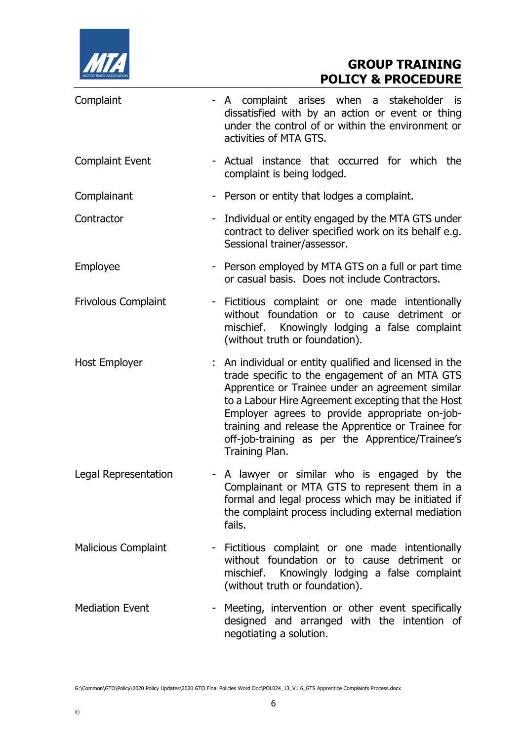

| Complaint                  |                          | - A complaint arises when a stakeholder is<br>dissatisfied with by an action or event or thing<br>under the control of or within the environment or<br>activities of MTA GTS.                                                                                                                                                                                                                     |  |
|----------------------------|--------------------------|---------------------------------------------------------------------------------------------------------------------------------------------------------------------------------------------------------------------------------------------------------------------------------------------------------------------------------------------------------------------------------------------------|--|
| <b>Complaint Event</b>     |                          | - Actual instance that occurred for which the<br>complaint is being lodged.                                                                                                                                                                                                                                                                                                                       |  |
| Complainant                |                          | - Person or entity that lodges a complaint.                                                                                                                                                                                                                                                                                                                                                       |  |
| Contractor                 |                          | - Individual or entity engaged by the MTA GTS under<br>contract to deliver specified work on its behalf e.g.<br>Sessional trainer/assessor.                                                                                                                                                                                                                                                       |  |
| Employee                   |                          | - Person employed by MTA GTS on a full or part time<br>or casual basis. Does not include Contractors.                                                                                                                                                                                                                                                                                             |  |
| <b>Frivolous Complaint</b> |                          | - Fictitious complaint or one made intentionally<br>without foundation or to cause detriment or<br>mischief. Knowingly lodging a false complaint<br>(without truth or foundation).                                                                                                                                                                                                                |  |
| Host Employer              |                          | : An individual or entity qualified and licensed in the<br>trade specific to the engagement of an MTA GTS<br>Apprentice or Trainee under an agreement similar<br>to a Labour Hire Agreement excepting that the Host<br>Employer agrees to provide appropriate on-job-<br>training and release the Apprentice or Trainee for<br>off-job-training as per the Apprentice/Trainee's<br>Training Plan. |  |
| Legal Representation       |                          | - A lawyer or similar who is engaged by the<br>Complainant or MTA GTS to represent them in a<br>formal and legal process which may be initiated if<br>the complaint process including external mediation<br>fails.                                                                                                                                                                                |  |
| <b>Malicious Complaint</b> | ۰.                       | Fictitious complaint or one made intentionally<br>without foundation or to cause detriment or<br>mischief. Knowingly lodging a false complaint<br>(without truth or foundation).                                                                                                                                                                                                                  |  |
| <b>Mediation Event</b>     | $\overline{\phantom{a}}$ | Meeting, intervention or other event specifically<br>designed and arranged with the intention of<br>negotiating a solution.                                                                                                                                                                                                                                                                       |  |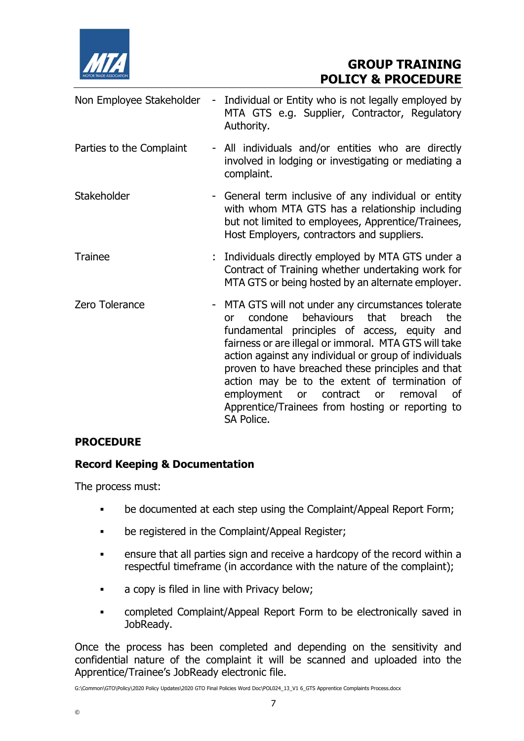

| Non Employee Stakeholder | $\blacksquare$ | Individual or Entity who is not legally employed by<br>MTA GTS e.g. Supplier, Contractor, Regulatory<br>Authority.                                                                                                                                                                                                                                                                                                                                                                                    |
|--------------------------|----------------|-------------------------------------------------------------------------------------------------------------------------------------------------------------------------------------------------------------------------------------------------------------------------------------------------------------------------------------------------------------------------------------------------------------------------------------------------------------------------------------------------------|
| Parties to the Complaint |                | - All individuals and/or entities who are directly<br>involved in lodging or investigating or mediating a<br>complaint.                                                                                                                                                                                                                                                                                                                                                                               |
| Stakeholder              |                | - General term inclusive of any individual or entity<br>with whom MTA GTS has a relationship including<br>but not limited to employees, Apprentice/Trainees,<br>Host Employers, contractors and suppliers.                                                                                                                                                                                                                                                                                            |
| <b>Trainee</b>           |                | : Individuals directly employed by MTA GTS under a<br>Contract of Training whether undertaking work for<br>MTA GTS or being hosted by an alternate employer.                                                                                                                                                                                                                                                                                                                                          |
| Zero Tolerance           |                | MTA GTS will not under any circumstances tolerate<br>behaviours that<br>condone<br>the<br>breach<br><b>or</b><br>fundamental principles of access, equity and<br>fairness or are illegal or immoral. MTA GTS will take<br>action against any individual or group of individuals<br>proven to have breached these principles and that<br>action may be to the extent of termination of<br>employment or contract or<br>removal<br>0f<br>Apprentice/Trainees from hosting or reporting to<br>SA Police. |

## PROCEDURE

### Record Keeping & Documentation

The process must:

- be documented at each step using the Complaint/Appeal Report Form;
- **•** be registered in the Complaint/Appeal Register;
- ensure that all parties sign and receive a hardcopy of the record within a respectful timeframe (in accordance with the nature of the complaint);
- a copy is filed in line with Privacy below;
- completed Complaint/Appeal Report Form to be electronically saved in JobReady.

Once the process has been completed and depending on the sensitivity and confidential nature of the complaint it will be scanned and uploaded into the Apprentice/Trainee's JobReady electronic file.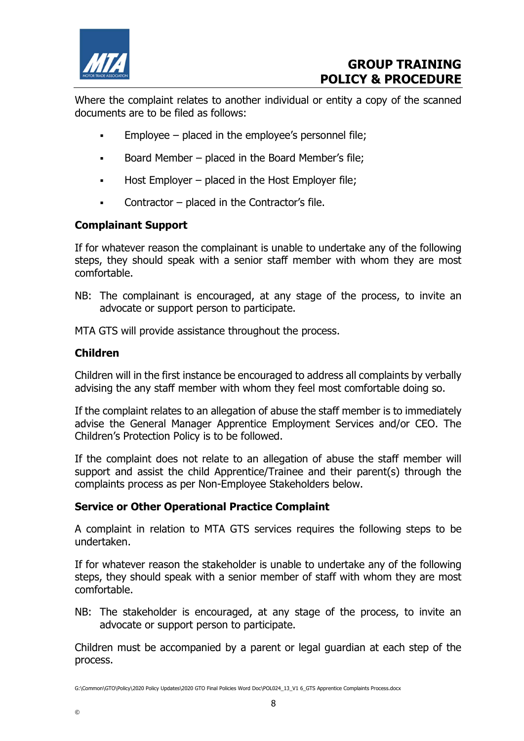

Where the complaint relates to another individual or entity a copy of the scanned documents are to be filed as follows:

- Employee placed in the employee's personnel file;
- Board Member placed in the Board Member's file:
- $\blacksquare$  Host Employer placed in the Host Employer file;
- Contractor placed in the Contractor's file.

### Complainant Support

If for whatever reason the complainant is unable to undertake any of the following steps, they should speak with a senior staff member with whom they are most comfortable.

NB: The complainant is encouraged, at any stage of the process, to invite an advocate or support person to participate.

MTA GTS will provide assistance throughout the process.

### Children

Children will in the first instance be encouraged to address all complaints by verbally advising the any staff member with whom they feel most comfortable doing so.

If the complaint relates to an allegation of abuse the staff member is to immediately advise the General Manager Apprentice Employment Services and/or CEO. The Children's Protection Policy is to be followed.

If the complaint does not relate to an allegation of abuse the staff member will support and assist the child Apprentice/Trainee and their parent(s) through the complaints process as per Non-Employee Stakeholders below.

### Service or Other Operational Practice Complaint

A complaint in relation to MTA GTS services requires the following steps to be undertaken.

If for whatever reason the stakeholder is unable to undertake any of the following steps, they should speak with a senior member of staff with whom they are most comfortable.

NB: The stakeholder is encouraged, at any stage of the process, to invite an advocate or support person to participate.

Children must be accompanied by a parent or legal guardian at each step of the process.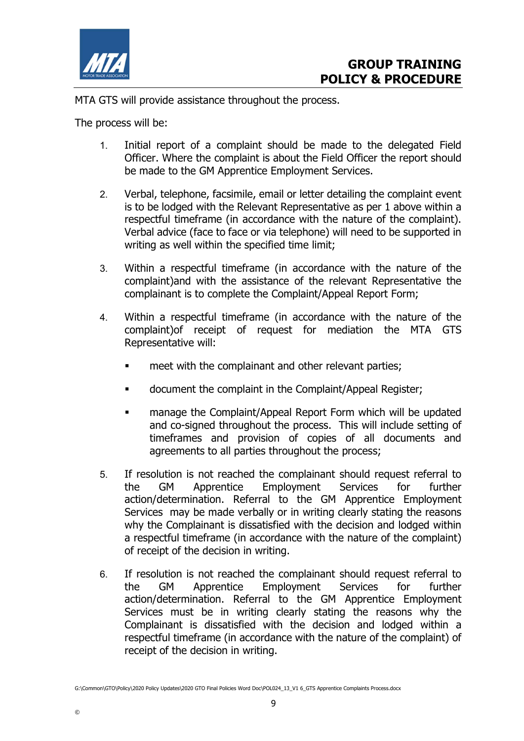

©

MTA GTS will provide assistance throughout the process.

The process will be:

- 1. Initial report of a complaint should be made to the delegated Field Officer. Where the complaint is about the Field Officer the report should be made to the GM Apprentice Employment Services.
- 2. Verbal, telephone, facsimile, email or letter detailing the complaint event is to be lodged with the Relevant Representative as per 1 above within a respectful timeframe (in accordance with the nature of the complaint). Verbal advice (face to face or via telephone) will need to be supported in writing as well within the specified time limit;
- 3. Within a respectful timeframe (in accordance with the nature of the complaint)and with the assistance of the relevant Representative the complainant is to complete the Complaint/Appeal Report Form;
- 4. Within a respectful timeframe (in accordance with the nature of the complaint)of receipt of request for mediation the MTA GTS Representative will:
	- meet with the complainant and other relevant parties;
	- document the complaint in the Complaint/Appeal Register;
	- **EXECOM** manage the Complaint/Appeal Report Form which will be updated and co-signed throughout the process. This will include setting of timeframes and provision of copies of all documents and agreements to all parties throughout the process;
- 5. If resolution is not reached the complainant should request referral to the GM Apprentice Employment Services for further action/determination. Referral to the GM Apprentice Employment Services may be made verbally or in writing clearly stating the reasons why the Complainant is dissatisfied with the decision and lodged within a respectful timeframe (in accordance with the nature of the complaint) of receipt of the decision in writing.
- 6. If resolution is not reached the complainant should request referral to the GM Apprentice Employment Services for further action/determination. Referral to the GM Apprentice Employment Services must be in writing clearly stating the reasons why the Complainant is dissatisfied with the decision and lodged within a respectful timeframe (in accordance with the nature of the complaint) of receipt of the decision in writing.

9

G:\Common\GTO\Policy\2020 Policy Updates\2020 GTO Final Policies Word Doc\POL024\_13\_V1 6\_GTS Apprentice Complaints Process.docx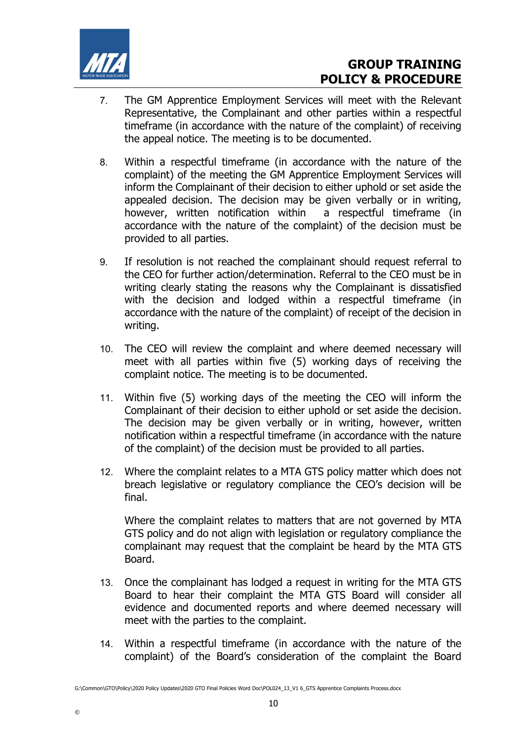

- 7. The GM Apprentice Employment Services will meet with the Relevant Representative, the Complainant and other parties within a respectful timeframe (in accordance with the nature of the complaint) of receiving the appeal notice. The meeting is to be documented.
- 8. Within a respectful timeframe (in accordance with the nature of the complaint) of the meeting the GM Apprentice Employment Services will inform the Complainant of their decision to either uphold or set aside the appealed decision. The decision may be given verbally or in writing, however, written notification within a respectful timeframe (in accordance with the nature of the complaint) of the decision must be provided to all parties.
- 9. If resolution is not reached the complainant should request referral to the CEO for further action/determination. Referral to the CEO must be in writing clearly stating the reasons why the Complainant is dissatisfied with the decision and lodged within a respectful timeframe (in accordance with the nature of the complaint) of receipt of the decision in writing.
- 10. The CEO will review the complaint and where deemed necessary will meet with all parties within five (5) working days of receiving the complaint notice. The meeting is to be documented.
- 11. Within five (5) working days of the meeting the CEO will inform the Complainant of their decision to either uphold or set aside the decision. The decision may be given verbally or in writing, however, written notification within a respectful timeframe (in accordance with the nature of the complaint) of the decision must be provided to all parties.
- 12. Where the complaint relates to a MTA GTS policy matter which does not breach legislative or regulatory compliance the CEO's decision will be final.

Where the complaint relates to matters that are not governed by MTA GTS policy and do not align with legislation or regulatory compliance the complainant may request that the complaint be heard by the MTA GTS Board.

- 13. Once the complainant has lodged a request in writing for the MTA GTS Board to hear their complaint the MTA GTS Board will consider all evidence and documented reports and where deemed necessary will meet with the parties to the complaint.
- 14. Within a respectful timeframe (in accordance with the nature of the complaint) of the Board's consideration of the complaint the Board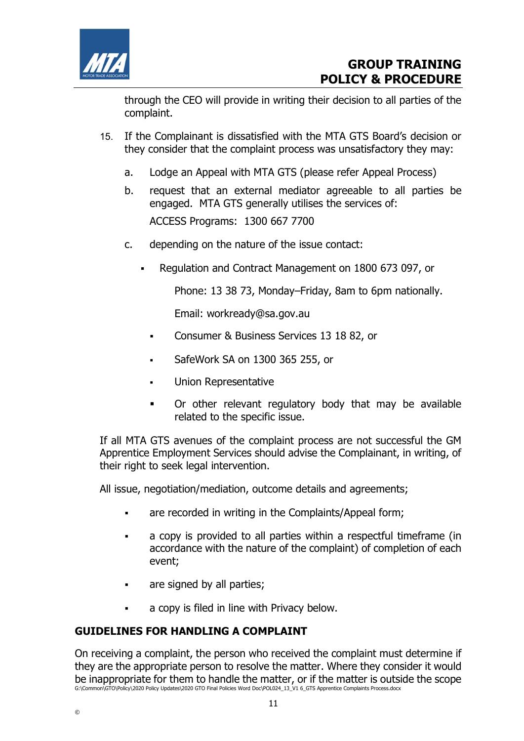

through the CEO will provide in writing their decision to all parties of the complaint.

- 15. If the Complainant is dissatisfied with the MTA GTS Board's decision or they consider that the complaint process was unsatisfactory they may:
	- a. Lodge an Appeal with MTA GTS (please refer Appeal Process)
	- b. request that an external mediator agreeable to all parties be engaged. MTA GTS generally utilises the services of: ACCESS Programs: 1300 667 7700
	- c. depending on the nature of the issue contact:
		- Regulation and Contract Management on 1800 673 097, or

Phone: 13 38 73, Monday–Friday, 8am to 6pm nationally.

Email: workready@sa.gov.au

- **Consumer & Business Services 13 18 82, or**
- SafeWork SA on 1300 365 255, or
- Union Representative
- Or other relevant regulatory body that may be available related to the specific issue.

If all MTA GTS avenues of the complaint process are not successful the GM Apprentice Employment Services should advise the Complainant, in writing, of their right to seek legal intervention.

All issue, negotiation/mediation, outcome details and agreements;

- are recorded in writing in the Complaints/Appeal form;
- a copy is provided to all parties within a respectful timeframe (in accordance with the nature of the complaint) of completion of each event;
- are signed by all parties;
- a copy is filed in line with Privacy below.

## GUIDELINES FOR HANDLING A COMPLAINT

G:\Common\GTO\Policy\2020 Policy Updates\2020 GTO Final Policies Word Doc\POL024\_13\_V1 6\_GTS Apprentice Complaints Process.docx On receiving a complaint, the person who received the complaint must determine if they are the appropriate person to resolve the matter. Where they consider it would be inappropriate for them to handle the matter, or if the matter is outside the scope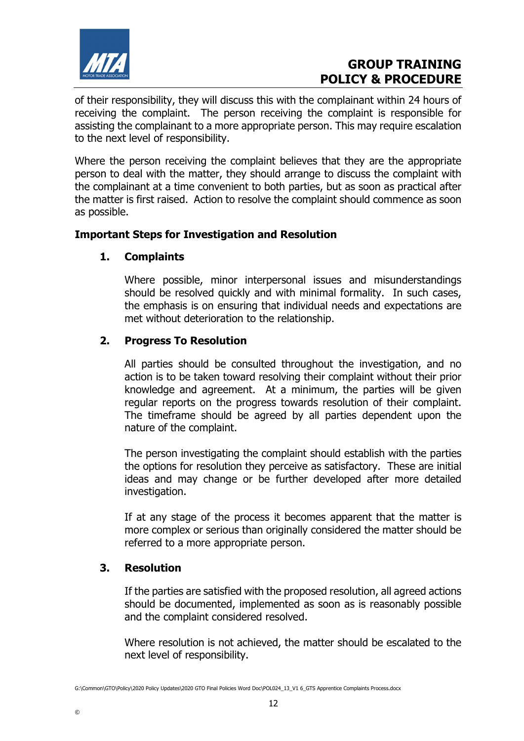

of their responsibility, they will discuss this with the complainant within 24 hours of receiving the complaint. The person receiving the complaint is responsible for assisting the complainant to a more appropriate person. This may require escalation to the next level of responsibility.

Where the person receiving the complaint believes that they are the appropriate person to deal with the matter, they should arrange to discuss the complaint with the complainant at a time convenient to both parties, but as soon as practical after the matter is first raised. Action to resolve the complaint should commence as soon as possible.

### Important Steps for Investigation and Resolution

### 1. Complaints

 Where possible, minor interpersonal issues and misunderstandings should be resolved quickly and with minimal formality. In such cases, the emphasis is on ensuring that individual needs and expectations are met without deterioration to the relationship.

### 2. Progress To Resolution

 All parties should be consulted throughout the investigation, and no action is to be taken toward resolving their complaint without their prior knowledge and agreement. At a minimum, the parties will be given regular reports on the progress towards resolution of their complaint. The timeframe should be agreed by all parties dependent upon the nature of the complaint.

 The person investigating the complaint should establish with the parties the options for resolution they perceive as satisfactory. These are initial ideas and may change or be further developed after more detailed investigation.

 If at any stage of the process it becomes apparent that the matter is more complex or serious than originally considered the matter should be referred to a more appropriate person.

### 3. Resolution

©

 If the parties are satisfied with the proposed resolution, all agreed actions should be documented, implemented as soon as is reasonably possible and the complaint considered resolved.

 Where resolution is not achieved, the matter should be escalated to the next level of responsibility.

G:\Common\GTO\Policy\2020 Policy Updates\2020 GTO Final Policies Word Doc\POL024\_13\_V1 6\_GTS Apprentice Complaints Process.docx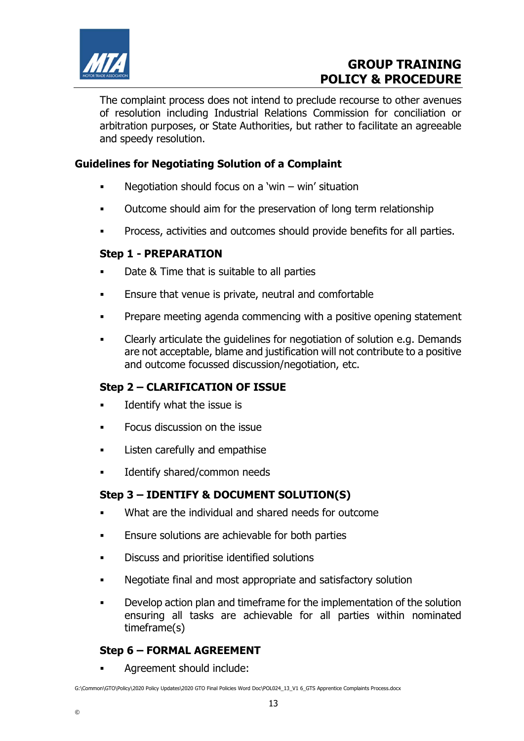

The complaint process does not intend to preclude recourse to other avenues of resolution including Industrial Relations Commission for conciliation or arbitration purposes, or State Authorities, but rather to facilitate an agreeable and speedy resolution.

### Guidelines for Negotiating Solution of a Complaint

- **Negotiation should focus on a 'win win' situation**
- Outcome should aim for the preservation of long term relationship
- Process, activities and outcomes should provide benefits for all parties.

### Step 1 - PREPARATION

- Date & Time that is suitable to all parties
- **Ensure that venue is private, neutral and comfortable**
- **•** Prepare meeting agenda commencing with a positive opening statement
- Clearly articulate the guidelines for negotiation of solution e.g. Demands are not acceptable, blame and justification will not contribute to a positive and outcome focussed discussion/negotiation, etc.

## Step 2 – CLARIFICATION OF ISSUE

- Identify what the issue is
- Focus discussion on the issue
- Listen carefully and empathise
- Identify shared/common needs

## Step 3 – IDENTIFY & DOCUMENT SOLUTION(S)

- What are the individual and shared needs for outcome
- **Ensure solutions are achievable for both parties**
- **•** Discuss and prioritise identified solutions
- Negotiate final and most appropriate and satisfactory solution
- Develop action plan and timeframe for the implementation of the solution ensuring all tasks are achievable for all parties within nominated timeframe(s)

## Step 6 – FORMAL AGREEMENT

Agreement should include:

G:\Common\GTO\Policy\2020 Policy Updates\2020 GTO Final Policies Word Doc\POL024\_13\_V1 6\_GTS Apprentice Complaints Process.docx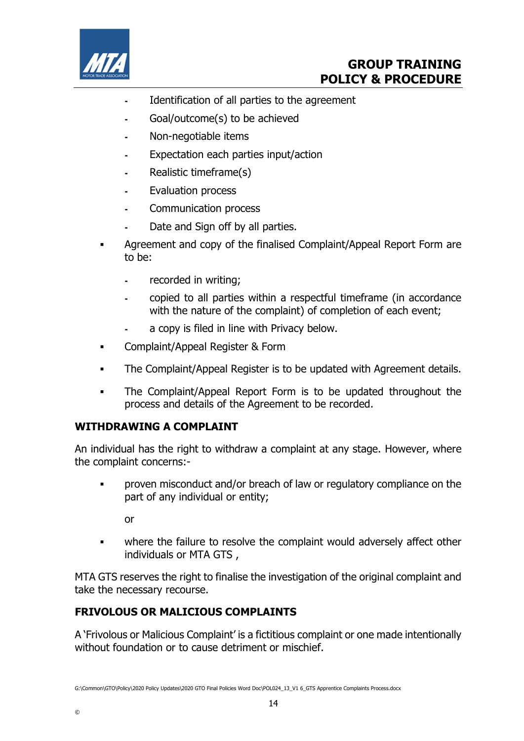

- Identification of all parties to the agreement
- Goal/outcome(s) to be achieved
- Non-negotiable items
- Expectation each parties input/action
- Realistic timeframe(s)
- Evaluation process
- Communication process
- Date and Sign off by all parties.
- Agreement and copy of the finalised Complaint/Appeal Report Form are to be:
	- recorded in writing;
	- copied to all parties within a respectful timeframe (in accordance with the nature of the complaint) of completion of each event;
	- a copy is filed in line with Privacy below.
- **Examplaint/Appeal Register & Form**
- The Complaint/Appeal Register is to be updated with Agreement details.
- The Complaint/Appeal Report Form is to be updated throughout the process and details of the Agreement to be recorded.

## WITHDRAWING A COMPLAINT

An individual has the right to withdraw a complaint at any stage. However, where the complaint concerns:-

 proven misconduct and/or breach of law or regulatory compliance on the part of any individual or entity;

or

• where the failure to resolve the complaint would adversely affect other individuals or MTA GTS ,

MTA GTS reserves the right to finalise the investigation of the original complaint and take the necessary recourse.

## FRIVOLOUS OR MALICIOUS COMPLAINTS

A 'Frivolous or Malicious Complaint' is a fictitious complaint or one made intentionally without foundation or to cause detriment or mischief.